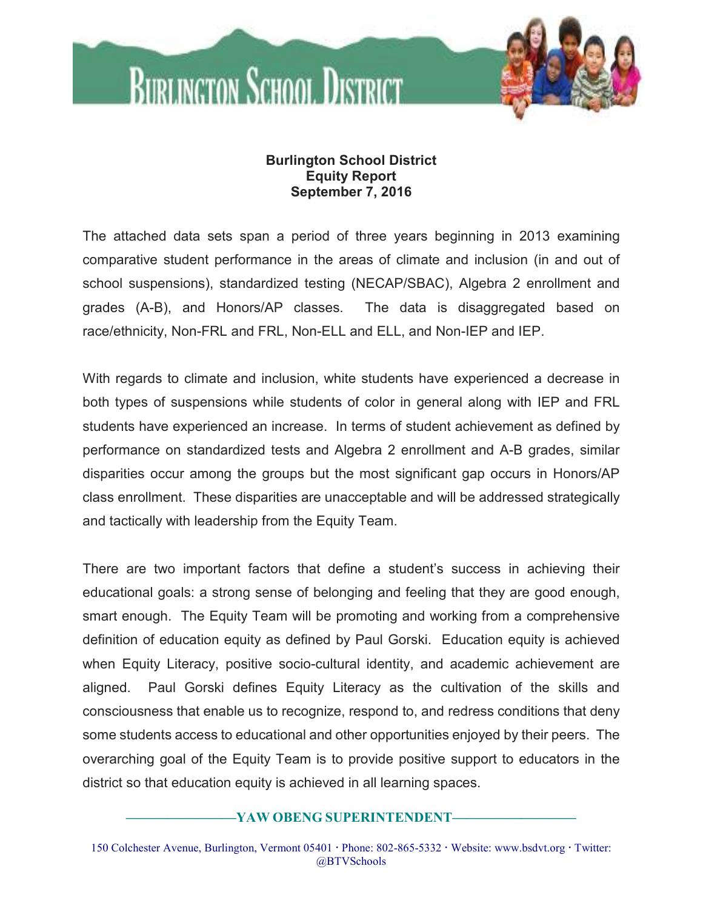

## **Burlington School District Equity Report September 7, 2016**

The attached data sets span a period of three years beginning in 2013 examining comparative student performance in the areas of climate and inclusion (in and out of school suspensions), standardized testing (NECAP/SBAC), Algebra 2 enrollment and grades (A-B), and Honors/AP classes. The data is disaggregated based on race/ethnicity, Non-FRL and FRL, Non-ELL and ELL, and Non-IEP and IEP.

With regards to climate and inclusion, white students have experienced a decrease in both types of suspensions while students of color in general along with IEP and FRL students have experienced an increase. In terms of student achievement as defined by performance on standardized tests and Algebra 2 enrollment and A-B grades, similar disparities occur among the groups but the most significant gap occurs in Honors/AP class enrollment. These disparities are unacceptable and will be addressed strategically and tactically with leadership from the Equity Team.

There are two important factors that define a student's success in achieving their educational goals: a strong sense of belonging and feeling that they are good enough, smart enough. The Equity Team will be promoting and working from a comprehensive definition of education equity as defined by Paul Gorski. Education equity is achieved when Equity Literacy, positive socio-cultural identity, and academic achievement are aligned. Paul Gorski defines Equity Literacy as the cultivation of the skills and consciousness that enable us to recognize, respond to, and redress conditions that deny some students access to educational and other opportunities enjoyed by their peers. The overarching goal of the Equity Team is to provide positive support to educators in the district so that education equity is achieved in all learning spaces.

## **————————YAW OBENG SUPERINTENDENT—————————**

150 Colchester Avenue, Burlington, Vermont 05401 Phone: 802-865-5332 Website: www.bsdvt.org Twitter: @BTVSchools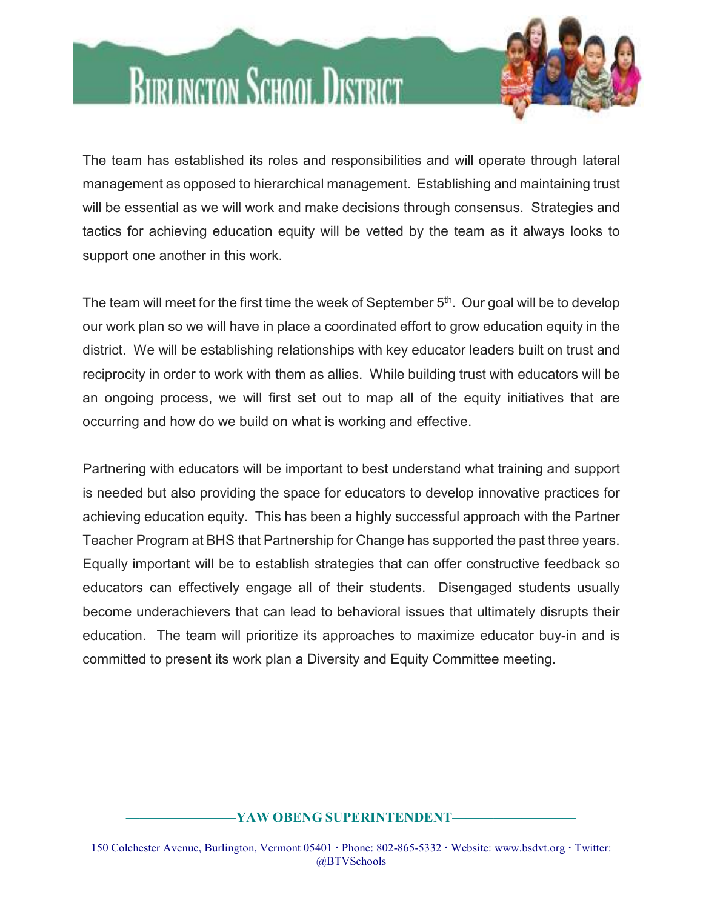

## **BURLINGTON SCHOOL DISTRICT**

The team has established its roles and responsibilities and will operate through lateral management as opposed to hierarchical management. Establishing and maintaining trust will be essential as we will work and make decisions through consensus. Strategies and tactics for achieving education equity will be vetted by the team as it always looks to support one another in this work.

The team will meet for the first time the week of September 5<sup>th</sup>. Our goal will be to develop our work plan so we will have in place a coordinated effort to grow education equity in the district. We will be establishing relationships with key educator leaders built on trust and reciprocity in order to work with them as allies. While building trust with educators will be an ongoing process, we will first set out to map all of the equity initiatives that are occurring and how do we build on what is working and effective.

Partnering with educators will be important to best understand what training and support is needed but also providing the space for educators to develop innovative practices for achieving education equity. This has been a highly successful approach with the Partner Teacher Program at BHS that Partnership for Change has supported the past three years. Equally important will be to establish strategies that can offer constructive feedback so educators can effectively engage all of their students. Disengaged students usually become underachievers that can lead to behavioral issues that ultimately disrupts their education. The team will prioritize its approaches to maximize educator buy-in and is committed to present its work plan a Diversity and Equity Committee meeting.

## **————————YAW OBENG SUPERINTENDENT—————————**

150 Colchester Avenue, Burlington, Vermont 05401 Phone: 802-865-5332 Website: www.bsdvt.org Twitter: @BTVSchools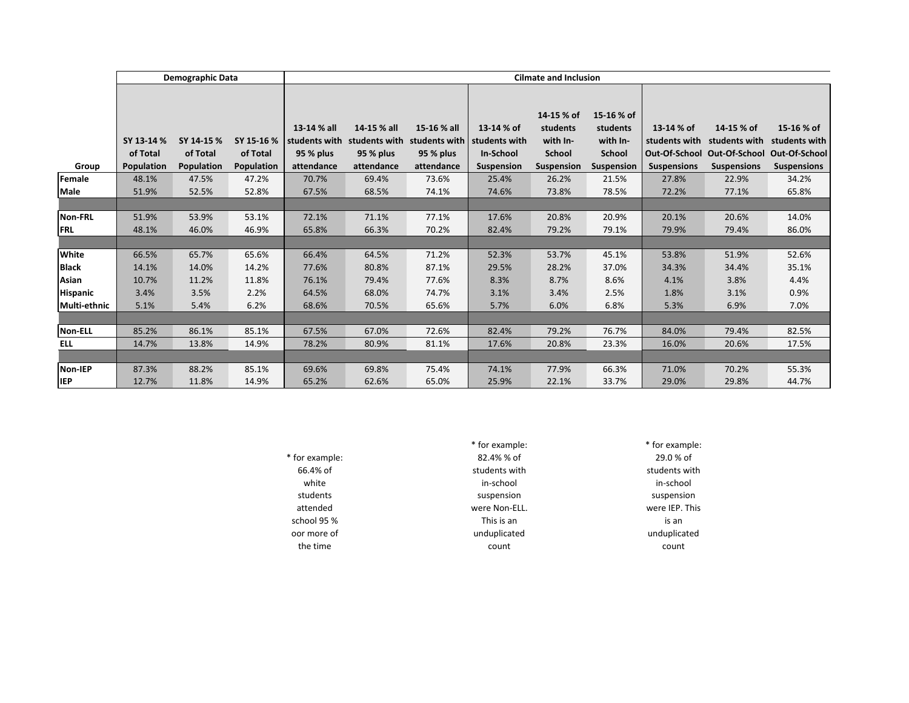|                 | Demographic Data                            |                                      |                                      | <b>Cilmate and Inclusion</b>                            |                                                         |                                                         |                                                               |                                                                   |                                                                          |                                                   |                                                                                  |                                                                    |
|-----------------|---------------------------------------------|--------------------------------------|--------------------------------------|---------------------------------------------------------|---------------------------------------------------------|---------------------------------------------------------|---------------------------------------------------------------|-------------------------------------------------------------------|--------------------------------------------------------------------------|---------------------------------------------------|----------------------------------------------------------------------------------|--------------------------------------------------------------------|
|                 |                                             |                                      |                                      |                                                         |                                                         |                                                         |                                                               |                                                                   |                                                                          |                                                   |                                                                                  |                                                                    |
| Group           | SY 13-14 %<br>of Total<br><b>Population</b> | SY 14-15 %<br>of Total<br>Population | SY 15-16 %<br>of Total<br>Population | 13-14 % all<br>students with<br>95 % plus<br>attendance | 14-15 % all<br>students with<br>95 % plus<br>attendance | 15-16 % all<br>students with<br>95 % plus<br>attendance | 13-14 % of<br>students with<br><b>In-School</b><br>Suspension | 14-15 % of<br>students<br>with In-<br><b>School</b><br>Suspension | 15-16 % of<br>students<br>with In-<br><b>School</b><br><b>Suspension</b> | 13-14 % of<br>students with<br><b>Suspensions</b> | 14-15 % of<br>students with<br>Out-Of-School Out-Of-School<br><b>Suspensions</b> | 15-16 % of<br>students with<br>Out-Of-School<br><b>Suspensions</b> |
| Female          | 48.1%                                       | 47.5%                                | 47.2%                                | 70.7%                                                   | 69.4%                                                   | 73.6%                                                   | 25.4%                                                         | 26.2%                                                             | 21.5%                                                                    | 27.8%                                             | 22.9%                                                                            | 34.2%                                                              |
| Male            | 51.9%                                       | 52.5%                                | 52.8%                                | 67.5%                                                   | 68.5%                                                   | 74.1%                                                   | 74.6%                                                         | 73.8%                                                             | 78.5%                                                                    | 72.2%                                             | 77.1%                                                                            | 65.8%                                                              |
|                 |                                             |                                      |                                      |                                                         |                                                         |                                                         |                                                               |                                                                   |                                                                          |                                                   |                                                                                  |                                                                    |
| <b>Non-FRL</b>  | 51.9%                                       | 53.9%                                | 53.1%                                | 72.1%                                                   | 71.1%                                                   | 77.1%                                                   | 17.6%                                                         | 20.8%                                                             | 20.9%                                                                    | 20.1%                                             | 20.6%                                                                            | 14.0%                                                              |
| <b>FRL</b>      | 48.1%                                       | 46.0%                                | 46.9%                                | 65.8%                                                   | 66.3%                                                   | 70.2%                                                   | 82.4%                                                         | 79.2%                                                             | 79.1%                                                                    | 79.9%                                             | 79.4%                                                                            | 86.0%                                                              |
|                 |                                             |                                      |                                      |                                                         |                                                         |                                                         |                                                               |                                                                   |                                                                          |                                                   |                                                                                  |                                                                    |
| White           | 66.5%                                       | 65.7%                                | 65.6%                                | 66.4%                                                   | 64.5%                                                   | 71.2%                                                   | 52.3%                                                         | 53.7%                                                             | 45.1%                                                                    | 53.8%                                             | 51.9%                                                                            | 52.6%                                                              |
| <b>Black</b>    | 14.1%                                       | 14.0%                                | 14.2%                                | 77.6%                                                   | 80.8%                                                   | 87.1%                                                   | 29.5%                                                         | 28.2%                                                             | 37.0%                                                                    | 34.3%                                             | 34.4%                                                                            | 35.1%                                                              |
| Asian           | 10.7%                                       | 11.2%                                | 11.8%                                | 76.1%                                                   | 79.4%                                                   | 77.6%                                                   | 8.3%                                                          | 8.7%                                                              | 8.6%                                                                     | 4.1%                                              | 3.8%                                                                             | 4.4%                                                               |
| <b>Hispanic</b> | 3.4%                                        | 3.5%                                 | 2.2%                                 | 64.5%                                                   | 68.0%                                                   | 74.7%                                                   | 3.1%                                                          | 3.4%                                                              | 2.5%                                                                     | 1.8%                                              | 3.1%                                                                             | 0.9%                                                               |
| Multi-ethnic    | 5.1%                                        | 5.4%                                 | 6.2%                                 | 68.6%                                                   | 70.5%                                                   | 65.6%                                                   | 5.7%                                                          | 6.0%                                                              | 6.8%                                                                     | 5.3%                                              | 6.9%                                                                             | 7.0%                                                               |
|                 |                                             |                                      |                                      |                                                         |                                                         |                                                         |                                                               |                                                                   |                                                                          |                                                   |                                                                                  |                                                                    |
| Non-ELL         | 85.2%                                       | 86.1%                                | 85.1%                                | 67.5%                                                   | 67.0%                                                   | 72.6%                                                   | 82.4%                                                         | 79.2%                                                             | 76.7%                                                                    | 84.0%                                             | 79.4%                                                                            | 82.5%                                                              |
| <b>ELL</b>      | 14.7%                                       | 13.8%                                | 14.9%                                | 78.2%                                                   | 80.9%                                                   | 81.1%                                                   | 17.6%                                                         | 20.8%                                                             | 23.3%                                                                    | 16.0%                                             | 20.6%                                                                            | 17.5%                                                              |
|                 |                                             |                                      |                                      |                                                         |                                                         |                                                         |                                                               |                                                                   |                                                                          |                                                   |                                                                                  |                                                                    |
| Non-IEP         | 87.3%                                       | 88.2%                                | 85.1%                                | 69.6%                                                   | 69.8%                                                   | 75.4%                                                   | 74.1%                                                         | 77.9%                                                             | 66.3%                                                                    | 71.0%                                             | 70.2%                                                                            | 55.3%                                                              |
| <b>IEP</b>      | 12.7%                                       | 11.8%                                | 14.9%                                | 65.2%                                                   | 62.6%                                                   | 65.0%                                                   | 25.9%                                                         | 22.1%                                                             | 33.7%                                                                    | 29.0%                                             | 29.8%                                                                            | 44.7%                                                              |

|                | * for example: | * for example: |
|----------------|----------------|----------------|
| * for example: | 82.4% % of     | $29.0 %$ of    |
| 66.4% of       | students with  | students with  |
| white          | in-school      | in-school      |
| students       | suspension     | suspension     |
| attended       | were Non-ELL.  | were IEP. This |
| school 95 %    | This is an     | is an          |
| oor more of    | unduplicated   | unduplicated   |
| the time       | count          | count          |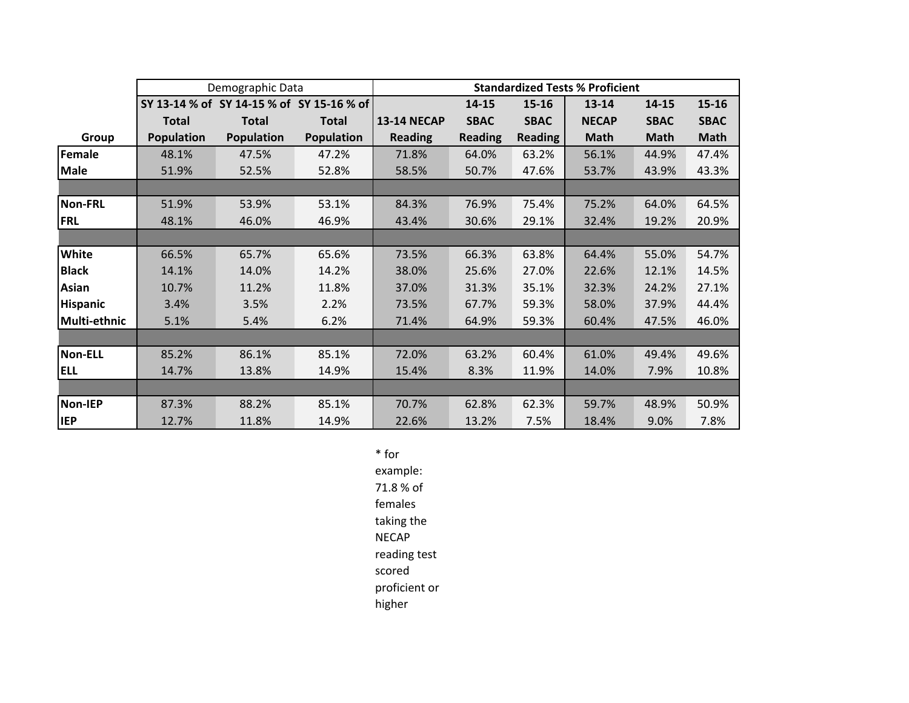|                 |                                           | Demographic Data  | <b>Standardized Tests % Proficient</b> |                    |                |                |              |             |             |
|-----------------|-------------------------------------------|-------------------|----------------------------------------|--------------------|----------------|----------------|--------------|-------------|-------------|
|                 | SY 13-14 % of SY 14-15 % of SY 15-16 % of |                   |                                        |                    | 14-15          | 15-16          | $13 - 14$    | 14-15       | $15 - 16$   |
|                 | <b>Total</b>                              | <b>Total</b>      | <b>Total</b>                           | <b>13-14 NECAP</b> | <b>SBAC</b>    | <b>SBAC</b>    | <b>NECAP</b> | <b>SBAC</b> | <b>SBAC</b> |
| Group           | <b>Population</b>                         | <b>Population</b> | <b>Population</b>                      | <b>Reading</b>     | <b>Reading</b> | <b>Reading</b> | <b>Math</b>  | <b>Math</b> | <b>Math</b> |
| Female          | 48.1%                                     | 47.5%             | 47.2%                                  | 71.8%              | 64.0%          | 63.2%          | 56.1%        | 44.9%       | 47.4%       |
| <b>Male</b>     | 51.9%                                     | 52.5%             | 52.8%                                  | 58.5%              | 50.7%          | 47.6%          | 53.7%        | 43.9%       | 43.3%       |
|                 |                                           |                   |                                        |                    |                |                |              |             |             |
| <b>Non-FRL</b>  | 51.9%                                     | 53.9%             | 53.1%                                  | 84.3%              | 76.9%          | 75.4%          | 75.2%        | 64.0%       | 64.5%       |
| FRL             | 48.1%                                     | 46.0%             | 46.9%                                  | 43.4%              | 30.6%          | 29.1%          | 32.4%        | 19.2%       | 20.9%       |
|                 |                                           |                   |                                        |                    |                |                |              |             |             |
| <b>White</b>    | 66.5%                                     | 65.7%             | 65.6%                                  | 73.5%              | 66.3%          | 63.8%          | 64.4%        | 55.0%       | 54.7%       |
| <b>Black</b>    | 14.1%                                     | 14.0%             | 14.2%                                  | 38.0%              | 25.6%          | 27.0%          | 22.6%        | 12.1%       | 14.5%       |
| Asian           | 10.7%                                     | 11.2%             | 11.8%                                  | 37.0%              | 31.3%          | 35.1%          | 32.3%        | 24.2%       | 27.1%       |
| <b>Hispanic</b> | 3.4%                                      | 3.5%              | 2.2%                                   | 73.5%              | 67.7%          | 59.3%          | 58.0%        | 37.9%       | 44.4%       |
| Multi-ethnic    | 5.1%                                      | 5.4%              | 6.2%                                   | 71.4%              | 64.9%          | 59.3%          | 60.4%        | 47.5%       | 46.0%       |
|                 |                                           |                   |                                        |                    |                |                |              |             |             |
| <b>Non-ELL</b>  | 85.2%                                     | 86.1%             | 85.1%                                  | 72.0%              | 63.2%          | 60.4%          | 61.0%        | 49.4%       | 49.6%       |
| <b>ELL</b>      | 14.7%                                     | 13.8%             | 14.9%                                  | 15.4%              | 8.3%           | 11.9%          | 14.0%        | 7.9%        | 10.8%       |
|                 |                                           |                   |                                        |                    |                |                |              |             |             |
| Non-IEP         | 87.3%                                     | 88.2%             | 85.1%                                  | 70.7%              | 62.8%          | 62.3%          | 59.7%        | 48.9%       | 50.9%       |
| <b>IEP</b>      | 12.7%                                     | 11.8%             | 14.9%                                  | 22.6%              | 13.2%          | 7.5%           | 18.4%        | 9.0%        | 7.8%        |

\* for example: 71.8 % of females taking the NECAP reading test scored proficient or higher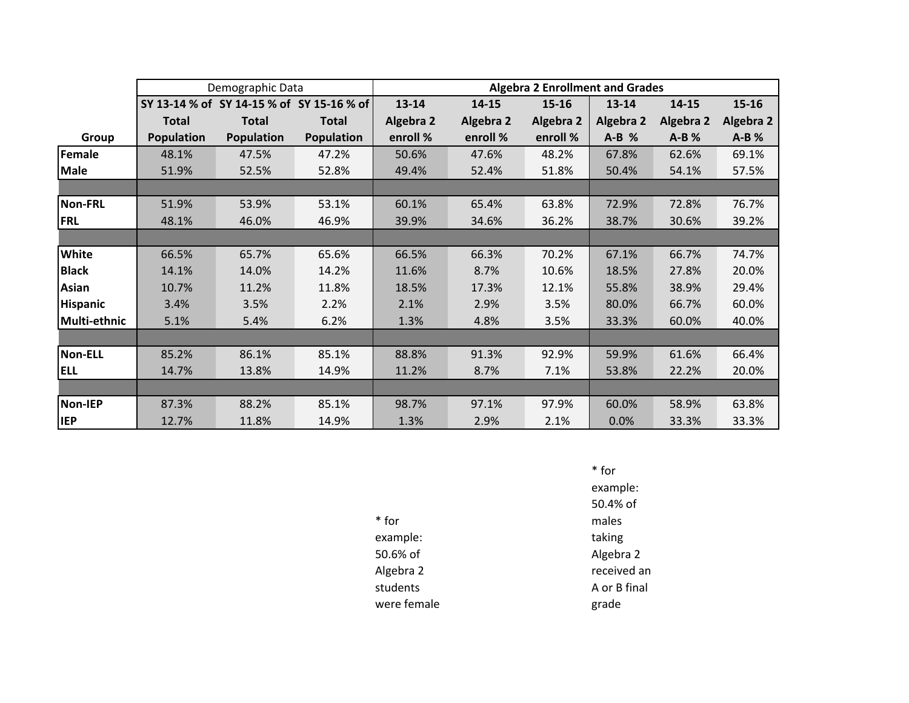|                 |                   | Demographic Data  |                                           | <b>Algebra 2 Enrollment and Grades</b> |           |                  |                  |                  |                  |  |
|-----------------|-------------------|-------------------|-------------------------------------------|----------------------------------------|-----------|------------------|------------------|------------------|------------------|--|
|                 |                   |                   | SY 13-14 % of SY 14-15 % of SY 15-16 % of | $13 - 14$                              | 14-15     | $15 - 16$        | 13-14            | 14-15            | $15 - 16$        |  |
|                 | <b>Total</b>      | <b>Total</b>      | Total                                     | <b>Algebra 2</b>                       | Algebra 2 | <b>Algebra 2</b> | <b>Algebra 2</b> | <b>Algebra 2</b> | <b>Algebra 2</b> |  |
| Group           | <b>Population</b> | <b>Population</b> | <b>Population</b>                         | enroll %                               | enroll %  | enroll %         | $A-B$ %          | $A-B$ %          | $A-B$ %          |  |
| Female          | 48.1%             | 47.5%             | 47.2%                                     | 50.6%                                  | 47.6%     | 48.2%            | 67.8%            | 62.6%            | 69.1%            |  |
| <b>Male</b>     | 51.9%             | 52.5%             | 52.8%                                     | 49.4%                                  | 52.4%     | 51.8%            | 50.4%            | 54.1%            | 57.5%            |  |
|                 |                   |                   |                                           |                                        |           |                  |                  |                  |                  |  |
| <b>Non-FRL</b>  | 51.9%             | 53.9%             | 53.1%                                     | 60.1%                                  | 65.4%     | 63.8%            | 72.9%            | 72.8%            | 76.7%            |  |
| <b>FRL</b>      | 48.1%             | 46.0%             | 46.9%                                     | 39.9%                                  | 34.6%     | 36.2%            | 38.7%            | 30.6%            | 39.2%            |  |
|                 |                   |                   |                                           |                                        |           |                  |                  |                  |                  |  |
| White           | 66.5%             | 65.7%             | 65.6%                                     | 66.5%                                  | 66.3%     | 70.2%            | 67.1%            | 66.7%            | 74.7%            |  |
| <b>Black</b>    | 14.1%             | 14.0%             | 14.2%                                     | 11.6%                                  | 8.7%      | 10.6%            | 18.5%            | 27.8%            | 20.0%            |  |
| <b>Asian</b>    | 10.7%             | 11.2%             | 11.8%                                     | 18.5%                                  | 17.3%     | 12.1%            | 55.8%            | 38.9%            | 29.4%            |  |
| <b>Hispanic</b> | 3.4%              | 3.5%              | 2.2%                                      | 2.1%                                   | 2.9%      | 3.5%             | 80.0%            | 66.7%            | 60.0%            |  |
| Multi-ethnic    | 5.1%              | 5.4%              | 6.2%                                      | 1.3%                                   | 4.8%      | 3.5%             | 33.3%            | 60.0%            | 40.0%            |  |
|                 |                   |                   |                                           |                                        |           |                  |                  |                  |                  |  |
| <b>Non-ELL</b>  | 85.2%             | 86.1%             | 85.1%                                     | 88.8%                                  | 91.3%     | 92.9%            | 59.9%            | 61.6%            | 66.4%            |  |
| <b>ELL</b>      | 14.7%             | 13.8%             | 14.9%                                     | 11.2%                                  | 8.7%      | 7.1%             | 53.8%            | 22.2%            | 20.0%            |  |
|                 |                   |                   |                                           |                                        |           |                  |                  |                  |                  |  |
| <b>Non-IEP</b>  | 87.3%             | 88.2%             | 85.1%                                     | 98.7%                                  | 97.1%     | 97.9%            | 60.0%            | 58.9%            | 63.8%            |  |
| <b>IEP</b>      | 12.7%             | 11.8%             | 14.9%                                     | 1.3%                                   | 2.9%      | 2.1%             | 0.0%             | 33.3%            | 33.3%            |  |

| * for       |  |
|-------------|--|
| example:    |  |
| 50.6% of    |  |
| Algebra 2   |  |
| students    |  |
| were female |  |

\* for example: 50.4% of males taking Algebra 2 received an A or B final grade